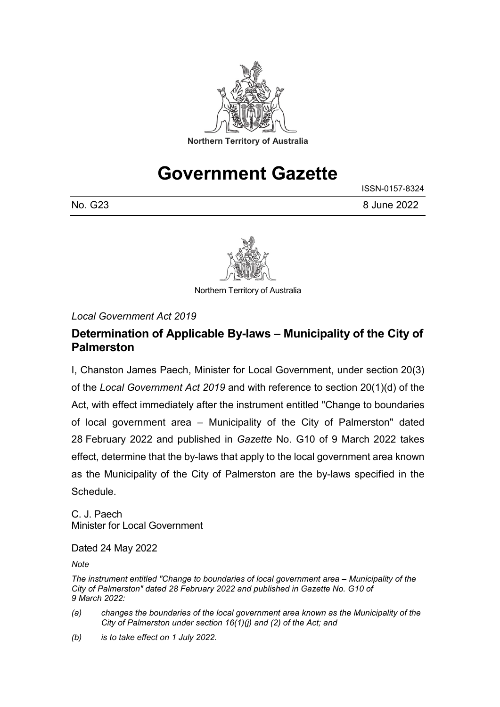

# **Government Gazette**

|         | ISSN-0157-8324 |
|---------|----------------|
| No. G23 | 8 June 2022    |



Northern Territory of Australia

*Local Government Act 2019*

#### **Determination of Applicable By-laws – Municipality of the City of Palmerston**

I, Chanston James Paech, Minister for Local Government, under section 20(3) of the *Local Government Act 2019* and with reference to section 20(1)(d) of the Act, with effect immediately after the instrument entitled "Change to boundaries of local government area – Municipality of the City of Palmerston" dated 28 February 2022 and published in *Gazette* No. G10 of 9 March 2022 takes effect, determine that the by-laws that apply to the local government area known as the Municipality of the City of Palmerston are the by-laws specified in the Schedule.

C. J. Paech Minister for Local Government

Dated 24 May 2022

*Note*

*The instrument entitled "Change to boundaries of local government area – Municipality of the City of Palmerston" dated 28 February 2022 and published in Gazette No. G10 of 9 March 2022:*

- *(a) changes the boundaries of the local government area known as the Municipality of the City of Palmerston under section 16(1)(j) and (2) of the Act; and*
- *(b) is to take effect on 1 July 2022.*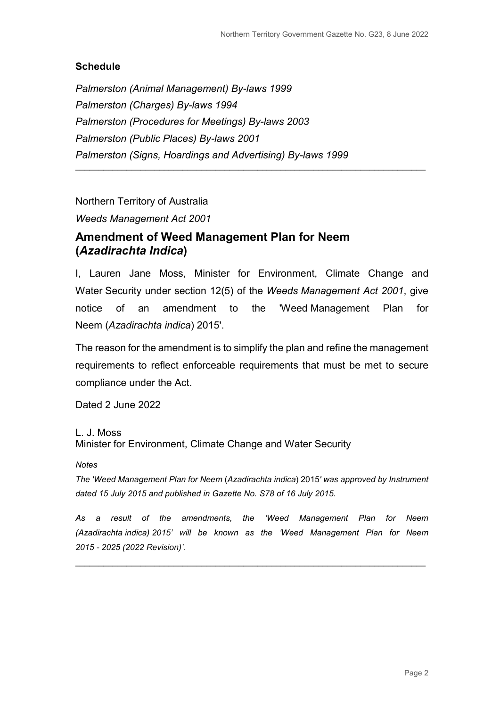#### **Schedule**

*Palmerston (Animal Management) By-laws 1999 Palmerston (Charges) By-laws 1994 Palmerston (Procedures for Meetings) By-laws 2003 Palmerston (Public Places) By-laws 2001 Palmerston (Signs, Hoardings and Advertising) By-laws 1999*

Northern Territory of Australia

*Weeds Management Act 2001*

#### **Amendment of Weed Management Plan for Neem (***Azadirachta Indica***)**

I, Lauren Jane Moss, Minister for Environment, Climate Change and Water Security under section 12(5) of the *Weeds Management Act 2001*, give notice of an amendment to the 'Weed Management Plan for Neem (*Azadirachta indica*) 2015'.

\_\_\_\_\_\_\_\_\_\_\_\_\_\_\_\_\_\_\_\_\_\_\_\_\_\_\_\_\_\_\_\_\_\_\_\_\_\_\_\_\_\_\_\_\_\_\_\_\_\_\_\_\_\_\_\_\_\_\_\_\_\_\_\_\_\_\_\_\_\_\_\_\_\_\_

The reason for the amendment is to simplify the plan and refine the management requirements to reflect enforceable requirements that must be met to secure compliance under the Act.

Dated 2 June 2022

L. J. Moss

Minister for Environment, Climate Change and Water Security

*Notes*

*The 'Weed Management Plan for Neem* (*Azadirachta indica*) 2015*' was approved by Instrument dated 15 July 2015 and published in Gazette No. S78 of 16 July 2015.* 

*As a result of the amendments, the 'Weed Management Plan for Neem (Azadirachta indica) 2015' will be known as the 'Weed Management Plan for Neem 2015 - 2025 (2022 Revision)'.* 

\_\_\_\_\_\_\_\_\_\_\_\_\_\_\_\_\_\_\_\_\_\_\_\_\_\_\_\_\_\_\_\_\_\_\_\_\_\_\_\_\_\_\_\_\_\_\_\_\_\_\_\_\_\_\_\_\_\_\_\_\_\_\_\_\_\_\_\_\_\_\_\_\_\_\_